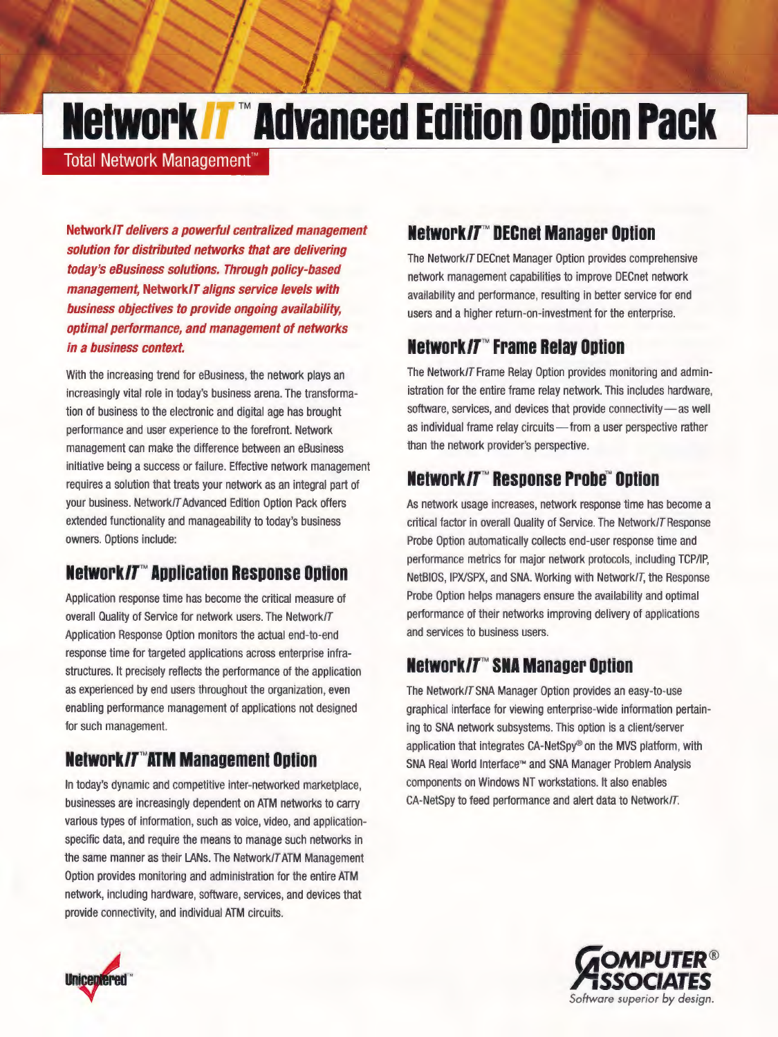# **Network /7™ Advanced Edition Option Pack**

**Total Network Management™** 

**Network/T delivers a powerful centralized management solution for distributed networks that are delivering today's eBusiness solutions. Through policy-based management, Network/T aligns service levels with business objectives to provide ongoing availability, optimal performance, and management of networks in a business context.** 

With the increasing trend for eBusiness, the network plays an increasingly vital role in today's business arena. The transformation of business to the electronic and digital age has brought performance and user experience to the forefront. Network management can make the difference between an eBusiness initiative being a success or failure. Effective network management requires a solution that treats your network as an integral part of your business. Network/T Advanced Edition Option Pack offers extended functionality and manageability to today's business owners. Options include:

# **Network/T™ Application Response Option**

Application response time has become the critical measure of overall Quality of Service for network users. The Network/T Application Response Option monitors the actual end-to-end response time for targeted applications across enterprise infrastructures. It precisely reflects the performance of the application as experienced by end users throughout the organization, even enabling performance management of applications not designed for such management.

# **Network/T™ATM Management Option**

In today's dynamic and competitive inter-networked marketplace, businesses are increasingly dependent on ATM networks to carry various types of information, such as voice, video, and applicationspecific data, and require the means to manage such networks in the same manner as their LANs. The Network/T ATM Management Option provides monitoring and administration for the entire ATM network, including hardware, software, services, and devices that provide connectivity, and individual ATM circuits.

## **Network/T™ DECnet Manager Option**

The Network/T DECnet Manager Option provides comprehensive network management capabilities to improve DECnet network availability and performance, resulting in better service for end users and a higher return-on-investment for the enterprise.

#### **Network/T™ Frame Relay Option**

The Network/T Frame Relay Option provides monitoring and administration for the entire frame relay network. This includes hardware, software, services, and devices that provide connectivity-as well as individual frame relay circuits-from a user perspective rather than the network provider's perspective.

# **Network/T™ Response Probe™ Option**

As network usage increases, network response time has become a critical factor in overall Quality of Service. The Network/T Response Probe Option automatically collects end-user response time and performance metrics for major network protocols, including TCP/IP, NetBIOS, IPX/SPX, and SNA. Working with Network/T, the Response Probe Option helps managers ensure the availability and optimal performance of their networks improving delivery of applications and services to business users.

#### **Network/T™ SNA Manager Option**

The Network/TSNA Manager Option provides an easy-to-use graphical interface for viewing enterprise-wide information pertaining to SNA network subsystems. This option is a client/server application that integrates CA-NetSpy® on the MVS platform, with SNA Real World Interface™ and SNA Manager Problem Analysis components on Windows NT workstations. It also enables CA-NetSpy to feed performance and alert data to Network/T